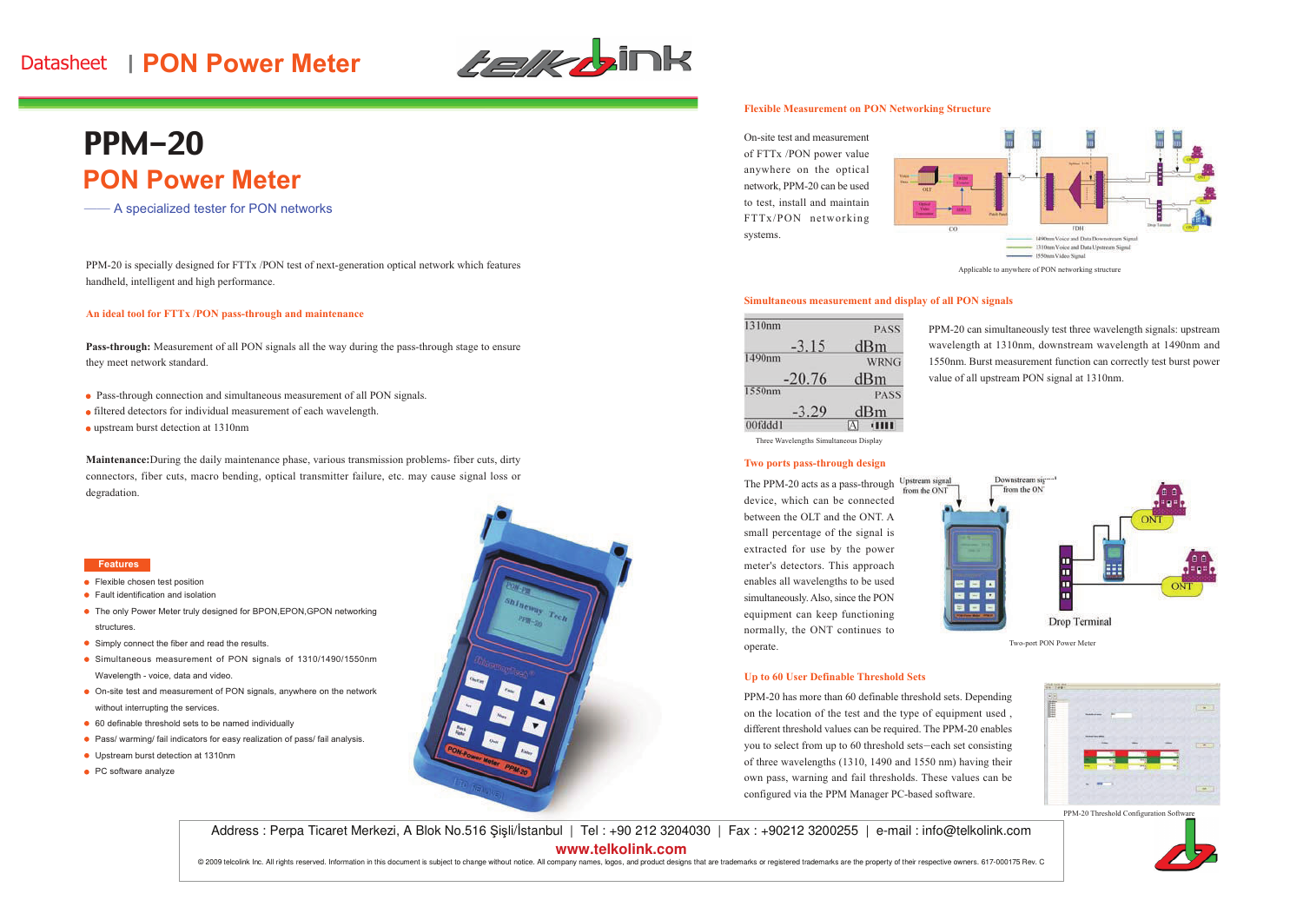# -- -**PON Power Meter**



# **PON Power Meter** PPM-20

—— A specialized tester for PON networks

PPM-20 is specially designed for FTTx /PON test of next-generation optical network which features handheld, intelligent and high performance.

#### **An ideal tool for FTTx /PON pass-through and maintenance**

**Pass-through:** Measurement of all PON signals all the way during the pass-through stage to ensure they meet network standard.

- Pass-through connection and simultaneous measurement of all PON signals.
- filtered detectors for individual measurement of each wavelength.
- upstream burst detection at 1310nm

**Maintenance:**During the daily maintenance <sup>p</sup>hase, various transmission problems- fiber cuts, dirty connectors, fiber cuts, macro bending, optical transmitter failure, etc. may cause signal loss or degradation.

#### **Features**

- **•** Flexible chosen test position
- Fault identification and isolation
- The only Power Meter truly designed for BPON,EPON,GPON networking structures.
- **Simply connect the fiber and read the results.**
- Simultaneous measurement of PON signals of 1310/1490/1550nmWavelength - voice, data and video.
- On-site test and measurement of PON signals, anywhere on the network without interrupting the services.
- <sup>60</sup> definable threshold sets to be named individually
- Pass/ warming/ fail indicators for easy realization of pass/ fail analysis.
- Upstream burst detection at 1310nm
- PC software analyze



#### **Flexible Measurement on PON Networking Structure**

On-site test and measurement of FTTx /PON power value anywhere on the optical network, PPM-20 can be used to test, install and maintain FTTx/PON networking systems.



#### **Simultaneous measurement and display of all PON signals**

| 1310nm   | <b>PASS</b> |
|----------|-------------|
| $-3.15$  | dBm         |
| 490nm    | <b>WRNG</b> |
| $-20.76$ | dBm         |
| 1550nm   | <b>PASS</b> |
| $-5.29$  | dBm         |
| 00fddd1  | <b>THE</b>  |

PPM-20 can simultaneously test three wavelength signals: upstream wavelength at 1310nm, downstream wavelength at 1490nm and 1550nm. Burst measurement function can correctly test burst power value of all upstream PON signal at 1310nm.

Three Wavelengths Simultaneous Display

### **Two ports pass-through design**

The PPM-20 acts as a pass-through Upstream signal device, which can be connected between the OLT and the ONT. <sup>A</sup> small percentage of the signal is extracted for use by the power meter's detectors. This approac<sup>h</sup> enables all wavelengths to be used simultaneously. Also, since the PON equipment can keep functioning normally, the ONT continues to operate.



Two-port PON Power Meter

#### **Up to <sup>60</sup> User Definable Threshold Sets**

PPM-20 has more than <sup>60</sup> definable threshold sets. Depending on the location of the test and the type of equipment used , different threshold values can be required. The PPM-20 enables you to select from up to 60 threshold sets-each set consisting of three wavelengths (1310, <sup>1490</sup> and <sup>1550</sup> nm) having their own pass, warning and fail thresholds. These values can be configured via the PPM Manager PC-based software.



PPM-20 Threshold Configuration Softy

Address : Perpa Ticaret Merkezi, A Blok No.516 Şişli/İstanbul | Tel : +90 212 3204030 | Fax : +90212 3200255 | e-mail : info@telkolink.com **www.telkolink.com** 

@ 2009 telcolink Inc. All rights reserved. Information in this document is subject to change without notice. All company names, logos, and product designs that are trademarks or registered trademarks are the property of th